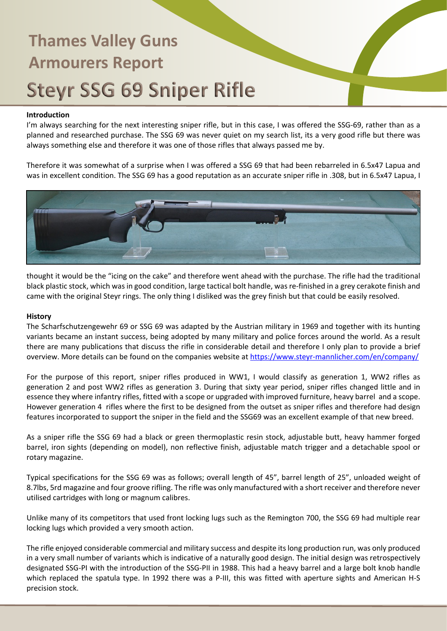### **Introduction**

I'm always searching for the next interesting sniper rifle, but in this case, I was offered the SSG-69, rather than as a planned and researched purchase. The SSG 69 was never quiet on my search list, its a very good rifle but there was always something else and therefore it was one of those rifles that always passed me by.

Therefore it was somewhat of a surprise when I was offered a SSG 69 that had been rebarreled in 6.5x47 Lapua and was in excellent condition. The SSG 69 has a good reputation as an accurate sniper rifle in .308, but in 6.5x47 Lapua, I



thought it would be the "icing on the cake" and therefore went ahead with the purchase. The rifle had the traditional black plastic stock, which was in good condition, large tactical bolt handle, was re-finished in a grey cerakote finish and came with the original Steyr rings. The only thing I disliked was the grey finish but that could be easily resolved.

#### **History**

The Scharfschutzengewehr 69 or SSG 69 was adapted by the Austrian military in 1969 and together with its hunting variants became an instant success, being adopted by many military and police forces around the world. As a result there are many publications that discuss the rifle in considerable detail and therefore I only plan to provide a brief overview. More details can be found on the companies website at<https://www.steyr-mannlicher.com/en/company/>

For the purpose of this report, sniper rifles produced in WW1, I would classify as generation 1, WW2 rifles as generation 2 and post WW2 rifles as generation 3. During that sixty year period, sniper rifles changed little and in essence they where infantry rifles, fitted with a scope or upgraded with improved furniture, heavy barrel and a scope. However generation 4 rifles where the first to be designed from the outset as sniper rifles and therefore had design features incorporated to support the sniper in the field and the SSG69 was an excellent example of that new breed.

As a sniper rifle the SSG 69 had a black or green thermoplastic resin stock, adjustable butt, heavy hammer forged barrel, iron sights (depending on model), non reflective finish, adjustable match trigger and a detachable spool or rotary magazine.

Typical specifications for the SSG 69 was as follows; overall length of 45", barrel length of 25", unloaded weight of 8.7lbs, 5rd magazine and four groove rifling. The rifle was only manufactured with a short receiver and therefore never utilised cartridges with long or magnum calibres.

Unlike many of its competitors that used front locking lugs such as the Remington 700, the SSG 69 had multiple rear locking lugs which provided a very smooth action.

The rifle enjoyed considerable commercial and military success and despite its long production run, was only produced in a very small number of variants which is indicative of a naturally good design. The initial design was retrospectively designated SSG-PI with the introduction of the SSG-PII in 1988. This had a heavy barrel and a large bolt knob handle which replaced the spatula type. In 1992 there was a P-III, this was fitted with aperture sights and American H-S precision stock.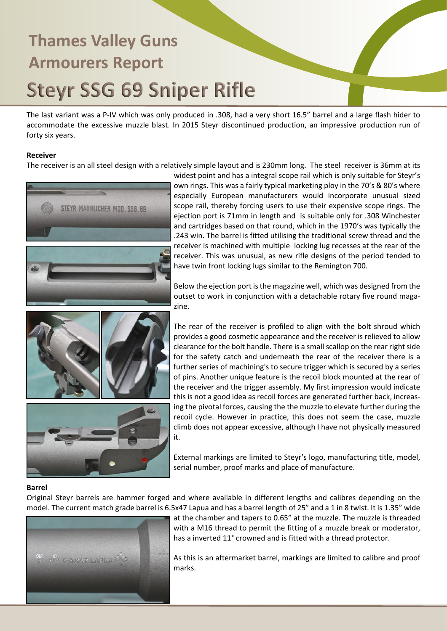The last variant was a P-IV which was only produced in .308, had a very short 16.5" barrel and a large flash hider to accommodate the excessive muzzle blast. In 2015 Steyr discontinued production, an impressive production run of forty six years.

### **Receiver**

The receiver is an all steel design with a relatively simple layout and is 230mm long. The steel receiver is 36mm at its



widest point and has a integral scope rail which is only suitable for Steyr's own rings. This was a fairly typical marketing ploy in the 70's & 80's where especially European manufacturers would incorporate unusual sized scope rail, thereby forcing users to use their expensive scope rings. The ejection port is 71mm in length and is suitable only for .308 Winchester and cartridges based on that round, which in the 1970's was typically the .243 win. The barrel is fitted utilising the traditional screw thread and the receiver is machined with multiple locking lug recesses at the rear of the receiver. This was unusual, as new rifle designs of the period tended to have twin front locking lugs similar to the Remington 700.

Below the ejection port is the magazine well, which was designed from the outset to work in conjunction with a detachable rotary five round magazine.

The rear of the receiver is profiled to align with the bolt shroud which provides a good cosmetic appearance and the receiver is relieved to allow clearance for the bolt handle. There is a small scallop on the rear right side for the safety catch and underneath the rear of the receiver there is a further series of machining's to secure trigger which is secured by a series of pins. Another unique feature is the recoil block mounted at the rear of the receiver and the trigger assembly. My first impression would indicate this is not a good idea as recoil forces are generated further back, increasing the pivotal forces, causing the the muzzle to elevate further during the recoil cycle. However in practice, this does not seem the case, muzzle climb does not appear excessive, although I have not physically measured

External markings are limited to Steyr's logo, manufacturing title, model, serial number, proof marks and place of manufacture.

### **Barrel**

Original Steyr barrels are hammer forged and where available in different lengths and calibres depending on the model. The current match grade barrel is 6.5x47 Lapua and has a barrel length of 25" and a 1 in 8 twist. It is 1.35" wide



at the chamber and tapers to 0.65" at the muzzle. The muzzle is threaded with a M16 thread to permit the fitting of a muzzle break or moderator, has a inverted 11° crowned and is fitted with a thread protector.

As this is an aftermarket barrel, markings are limited to calibre and proof marks.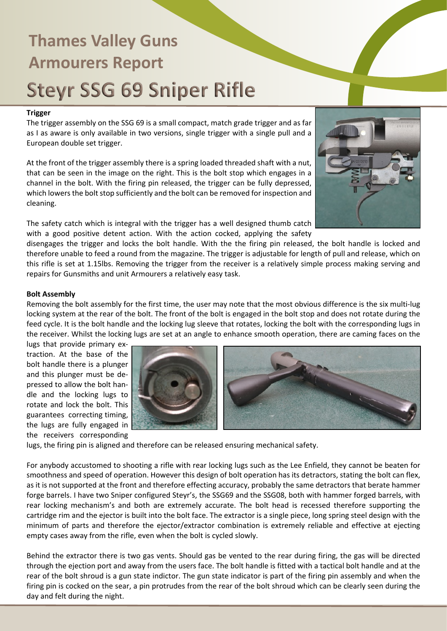### **Trigger**

The trigger assembly on the SSG 69 is a small compact, match grade trigger and as far as I as aware is only available in two versions, single trigger with a single pull and a European double set trigger.

At the front of the trigger assembly there is a spring loaded threaded shaft with a nut, that can be seen in the image on the right. This is the bolt stop which engages in a channel in the bolt. With the firing pin released, the trigger can be fully depressed, which lowers the bolt stop sufficiently and the bolt can be removed for inspection and cleaning.

The safety catch which is integral with the trigger has a well designed thumb catch with a good positive detent action. With the action cocked, applying the safety



disengages the trigger and locks the bolt handle. With the the firing pin released, the bolt handle is locked and therefore unable to feed a round from the magazine. The trigger is adjustable for length of pull and release, which on this rifle is set at 1.15lbs. Removing the trigger from the receiver is a relatively simple process making serving and repairs for Gunsmiths and unit Armourers a relatively easy task.

### **Bolt Assembly**

Removing the bolt assembly for the first time, the user may note that the most obvious difference is the six multi-lug locking system at the rear of the bolt. The front of the bolt is engaged in the bolt stop and does not rotate during the feed cycle. It is the bolt handle and the locking lug sleeve that rotates, locking the bolt with the corresponding lugs in the receiver. Whilst the locking lugs are set at an angle to enhance smooth operation, there are caming faces on the

lugs that provide primary extraction. At the base of the bolt handle there is a plunger and this plunger must be depressed to allow the bolt handle and the locking lugs to rotate and lock the bolt. This guarantees correcting timing, the lugs are fully engaged in the receivers corresponding



lugs, the firing pin is aligned and therefore can be released ensuring mechanical safety.

For anybody accustomed to shooting a rifle with rear locking lugs such as the Lee Enfield, they cannot be beaten for smoothness and speed of operation. However this design of bolt operation has its detractors, stating the bolt can flex, as it is not supported at the front and therefore effecting accuracy, probably the same detractors that berate hammer forge barrels. I have two Sniper configured Steyr's, the SSG69 and the SSG08, both with hammer forged barrels, with rear locking mechanism's and both are extremely accurate. The bolt head is recessed therefore supporting the cartridge rim and the ejector is built into the bolt face. The extractor is a single piece, long spring steel design with the minimum of parts and therefore the ejector/extractor combination is extremely reliable and effective at ejecting empty cases away from the rifle, even when the bolt is cycled slowly.

Behind the extractor there is two gas vents. Should gas be vented to the rear during firing, the gas will be directed through the ejection port and away from the users face. The bolt handle is fitted with a tactical bolt handle and at the rear of the bolt shroud is a gun state indictor. The gun state indicator is part of the firing pin assembly and when the firing pin is cocked on the sear, a pin protrudes from the rear of the bolt shroud which can be clearly seen during the day and felt during the night.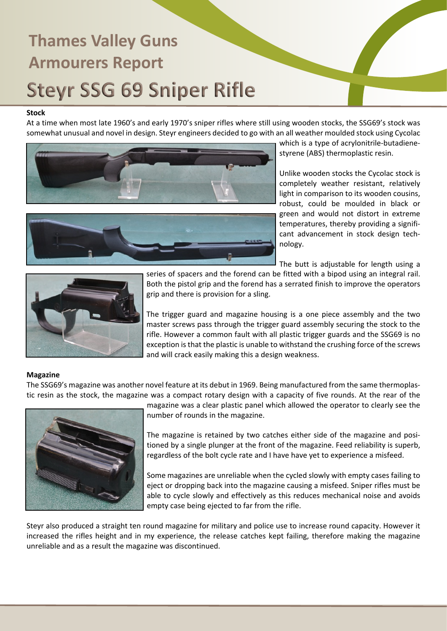#### **Stock**

At a time when most late 1960's and early 1970's sniper rifles where still using wooden stocks, the SSG69's stock was somewhat unusual and novel in design. Steyr engineers decided to go with an all weather moulded stock using Cycolac





which is a type of acrylonitrile-butadienestyrene (ABS) thermoplastic resin.

Unlike wooden stocks the Cycolac stock is completely weather resistant, relatively light in comparison to its wooden cousins, robust, could be moulded in black or green and would not distort in extreme temperatures, thereby providing a significant advancement in stock design technology.

The butt is adjustable for length using a



series of spacers and the forend can be fitted with a bipod using an integral rail. Both the pistol grip and the forend has a serrated finish to improve the operators grip and there is provision for a sling.

The trigger guard and magazine housing is a one piece assembly and the two master screws pass through the trigger guard assembly securing the stock to the rifle. However a common fault with all plastic trigger guards and the SSG69 is no exception is that the plastic is unable to withstand the crushing force of the screws and will crack easily making this a design weakness.

### **Magazine**

The SSG69's magazine was another novel feature at its debut in 1969. Being manufactured from the same thermoplastic resin as the stock, the magazine was a compact rotary design with a capacity of five rounds. At the rear of the



magazine was a clear plastic panel which allowed the operator to clearly see the number of rounds in the magazine.

The magazine is retained by two catches either side of the magazine and positioned by a single plunger at the front of the magazine. Feed reliability is superb, regardless of the bolt cycle rate and I have have yet to experience a misfeed.

Some magazines are unreliable when the cycled slowly with empty cases failing to eject or dropping back into the magazine causing a misfeed. Sniper rifles must be able to cycle slowly and effectively as this reduces mechanical noise and avoids empty case being ejected to far from the rifle.

Steyr also produced a straight ten round magazine for military and police use to increase round capacity. However it increased the rifles height and in my experience, the release catches kept failing, therefore making the magazine unreliable and as a result the magazine was discontinued.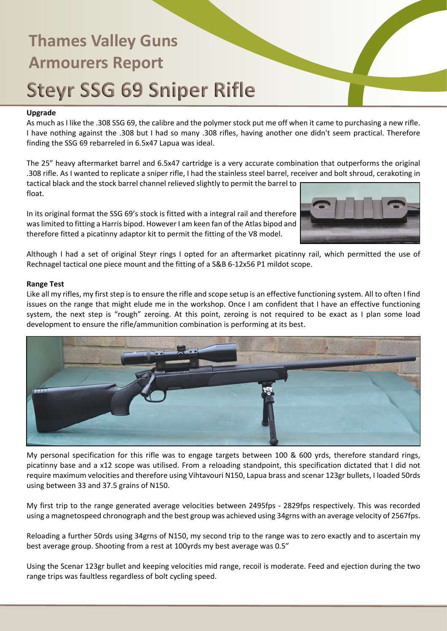### **Upgrade**

As much as I like the .308 SSG 69, the calibre and the polymer stock put me off when it came to purchasing a new rifle. I have nothing against the .308 but I had so many .308 rifles, having another one didn't seem practical. Therefore finding the SSG 69 rebarreled in 6.5x47 Lapua was ideal.

The 25" heavy aftermarket barrel and 6.5x47 cartridge is a very accurate combination that outperforms the original .308 rifle. As I wanted to replicate a sniper rifle, I had the stainless steel barrel, receiver and bolt shroud, cerakoting in

tactical black and the stock barrel channel relieved slightly to permit the barrel to float.

In its original format the SSG 69's stock is fitted with a integral rail and therefore was limited to fitting a Harris bipod. However I am keen fan of the Atlas bipod and therefore fitted a picatinny adaptor kit to permit the fitting of the V8 model.



Although I had a set of original Steyr rings I opted for an aftermarket picatinny rail, which permitted the use of Rechnagel tactical one piece mount and the fitting of a S&B 6-12x56 P1 mildot scope.

### **Range Test**

Like all my rifles, my first step is to ensure the rifle and scope setup is an effective functioning system. All to often I find issues on the range that might elude me in the workshop. Once I am confident that I have an effective functioning system, the next step is "rough" zeroing. At this point, zeroing is not required to be exact as I plan some load development to ensure the rifle/ammunition combination is performing at its best.



My personal specification for this rifle was to engage targets between 100 & 600 yrds, therefore standard rings, picatinny base and a x12 scope was utilised. From a reloading standpoint, this specification dictated that I did not require maximum velocities and therefore using Vihtavouri N150, Lapua brass and scenar 123gr bullets, I loaded 50rds using between 33 and 37.5 grains of N150.

My first trip to the range generated average velocities between 2495fps - 2829fps respectively. This was recorded using a magnetospeed chronograph and the best group was achieved using 34grns with an average velocity of 2567fps.

Reloading a further 50rds using 34grns of N150, my second trip to the range was to zero exactly and to ascertain my best average group. Shooting from a rest at 100yrds my best average was 0.5"

Using the Scenar 123gr bullet and keeping velocities mid range, recoil is moderate. Feed and ejection during the two range trips was faultless regardless of bolt cycling speed.